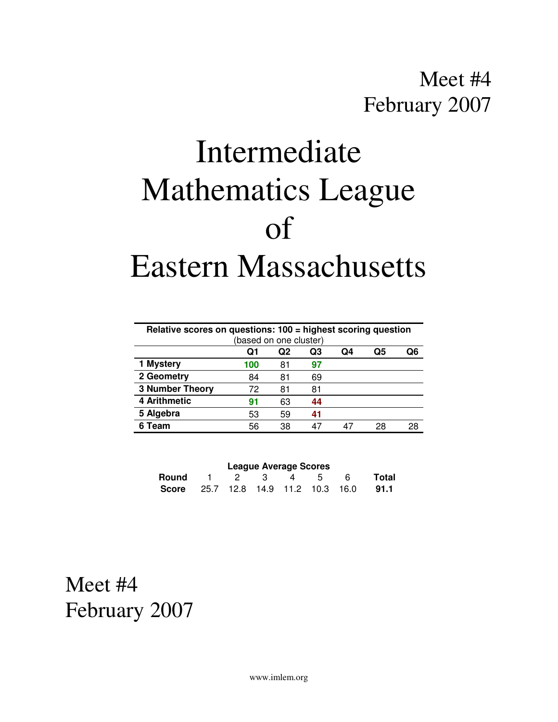# Intermediate Mathematics League of Eastern Massachusetts

| Relative scores on questions: 100 = highest scoring question |     |     |    |    |    |    |
|--------------------------------------------------------------|-----|-----|----|----|----|----|
| (based on one cluster)                                       |     |     |    |    |    |    |
|                                                              | Q1  | Q2  | Q3 | Q4 | Q5 | ი6 |
| 1 Mystery                                                    | 100 | 81  | 97 |    |    |    |
| 2 Geometry                                                   | 84  | 81  | 69 |    |    |    |
| <b>3 Number Theory</b>                                       | 72  | 81  | 81 |    |    |    |
| 4 Arithmetic                                                 | 91  | 63  | 44 |    |    |    |
| 5 Algebra                                                    | 53  | 59  | 41 |    |    |    |
| Team                                                         | 56  | 38. |    |    | 28 | 28 |
|                                                              |     |     |    |    |    |    |

| <b>League Average Scores</b>        |  |  |  |         |  |       |       |
|-------------------------------------|--|--|--|---------|--|-------|-------|
| Round 1                             |  |  |  | 2 3 4 5 |  | - 6 - | Total |
| Score 25.7 12.8 14.9 11.2 10.3 16.0 |  |  |  |         |  |       | 91.1  |

Meet #4 February 2007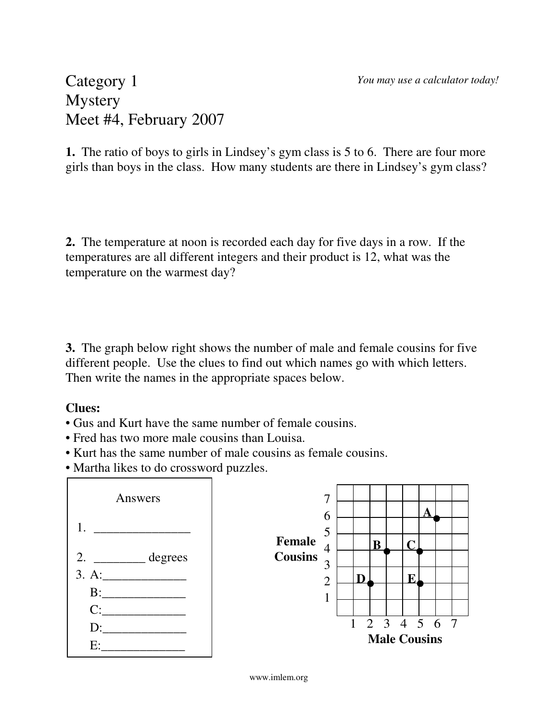*You may use a calculator today!*

#### Category 1 **Mystery** Meet #4, February 2007

**1.** The ratio of boys to girls in Lindsey's gym class is 5 to 6. There are four more girls than boys in the class. How many students are there in Lindsey's gym class?

**2.** The temperature at noon is recorded each day for five days in a row. If the temperatures are all different integers and their product is 12, what was the temperature on the warmest day?

**3.** The graph below right shows the number of male and female cousins for five different people. Use the clues to find out which names go with which letters. Then write the names in the appropriate spaces below.

#### **Clues:**

- Gus and Kurt have the same number of female cousins.
- Fred has two more male cousins than Louisa.
- Kurt has the same number of male cousins as female cousins.
- Martha likes to do crossword puzzles.



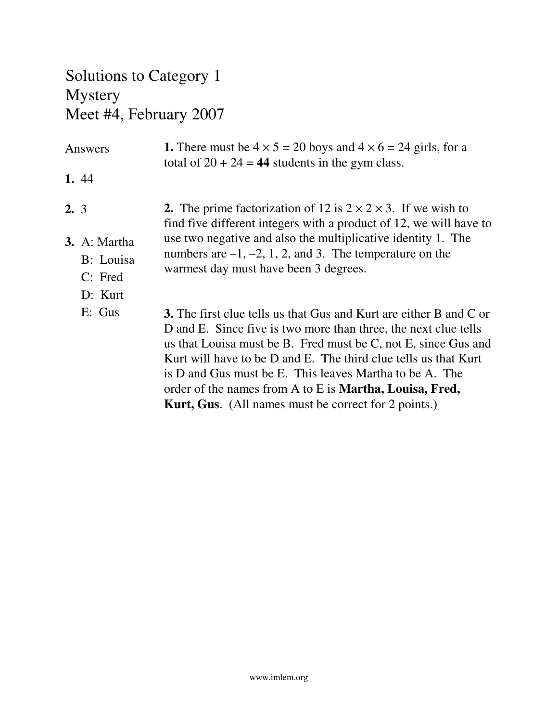## Solutions to Category 1 Mystery Meet #4, February 2007

| Answers |                                                   | <b>1.</b> There must be $4 \times 5 = 20$ boys and $4 \times 6 = 24$ girls, for a<br>total of $20 + 24 = 44$ students in the gym class.                                                                                                                                                                                                                                                                                                                                        |  |  |  |
|---------|---------------------------------------------------|--------------------------------------------------------------------------------------------------------------------------------------------------------------------------------------------------------------------------------------------------------------------------------------------------------------------------------------------------------------------------------------------------------------------------------------------------------------------------------|--|--|--|
|         | 1.44                                              |                                                                                                                                                                                                                                                                                                                                                                                                                                                                                |  |  |  |
| 2.3     |                                                   | 2. The prime factorization of 12 is $2 \times 2 \times 3$ . If we wish to<br>find five different integers with a product of 12, we will have to                                                                                                                                                                                                                                                                                                                                |  |  |  |
|         | 3. A: Martha<br>B: Louisa<br>$C:$ Fred<br>D: Kurt | use two negative and also the multiplicative identity 1. The<br>numbers are $-1, -2, 1, 2,$ and 3. The temperature on the<br>warmest day must have been 3 degrees.                                                                                                                                                                                                                                                                                                             |  |  |  |
|         | $E:$ Gus                                          | <b>3.</b> The first clue tells us that Gus and Kurt are either B and C or<br>D and E. Since five is two more than three, the next clue tells<br>us that Louisa must be B. Fred must be C, not E, since Gus and<br>Kurt will have to be D and E. The third clue tells us that Kurt<br>is D and Gus must be E. This leaves Martha to be A. The<br>order of the names from A to E is <b>Martha</b> , Louisa, Fred,<br><b>Kurt, Gus.</b> (All names must be correct for 2 points.) |  |  |  |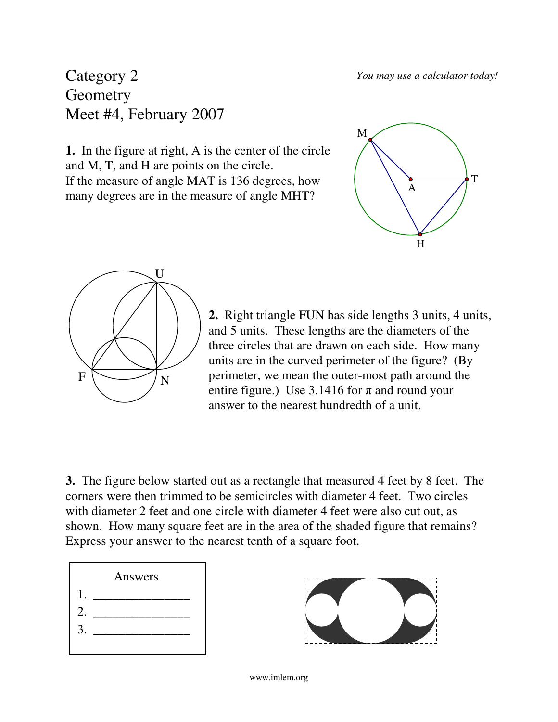*You may use a calculator today!*

#### Category 2 **Geometry** Meet #4, February 2007

**1.** In the figure at right, A is the center of the circle and M, T, and H are points on the circle. If the measure of angle MAT is 136 degrees, how many degrees are in the measure of angle MHT?





**2.** Right triangle FUN has side lengths 3 units, 4 units, and 5 units. These lengths are the diameters of the three circles that are drawn on each side. How many units are in the curved perimeter of the figure? (By perimeter, we mean the outer-most path around the entire figure.) Use 3.1416 for  $\pi$  and round your answer to the nearest hundredth of a unit.

**3.** The figure below started out as a rectangle that measured 4 feet by 8 feet. The corners were then trimmed to be semicircles with diameter 4 feet. Two circles with diameter 2 feet and one circle with diameter 4 feet were also cut out, as shown. How many square feet are in the area of the shaded figure that remains? Express your answer to the nearest tenth of a square foot.



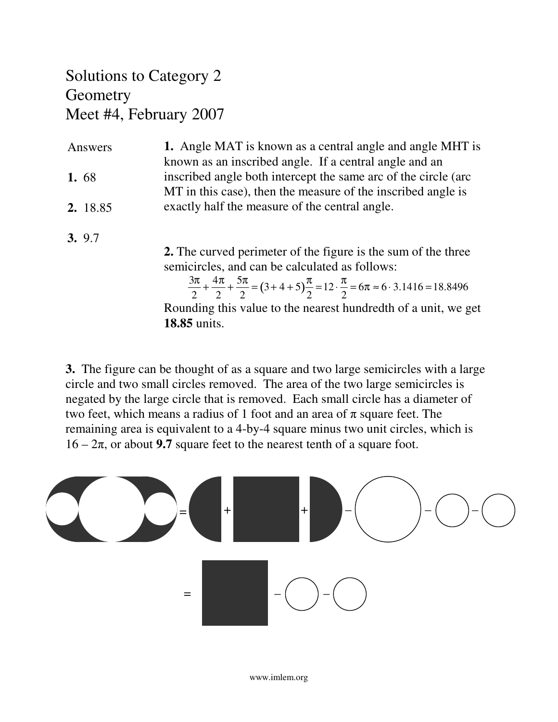### Solutions to Category 2 **Geometry** Meet #4, February 2007

| Answers  | <b>1.</b> Angle MAT is known as a central angle and angle MHT is |  |
|----------|------------------------------------------------------------------|--|
|          | known as an inscribed angle. If a central angle and an           |  |
| 1.68     | inscribed angle both intercept the same arc of the circle (arc)  |  |
|          | MT in this case), then the measure of the inscribed angle is     |  |
| 2. 18.85 | exactly half the measure of the central angle.                   |  |

**3.** 9.7

**2.** The curved perimeter of the figure is the sum of the three semicircles, and can be calculated as follows:

3π 2  $+\frac{4\pi}{2}$ 2  $+\frac{5\pi}{2}$  $\frac{5\pi}{2}$  = (3+4+5) $\frac{\pi}{2}$ 2  $=12 \cdot \frac{\pi}{2}$ 2  $= 6\pi \approx 6.3.1416 = 18.8496$ Rounding this value to the nearest hundredth of a unit, we get **18.85** units.

**3.** The figure can be thought of as a square and two large semicircles with a large circle and two small circles removed. The area of the two large semicircles is negated by the large circle that is removed. Each small circle has a diameter of two feet, which means a radius of 1 foot and an area of  $\pi$  square feet. The remaining area is equivalent to a 4-by-4 square minus two unit circles, which is  $16 - 2\pi$ , or about **9.7** square feet to the nearest tenth of a square foot.

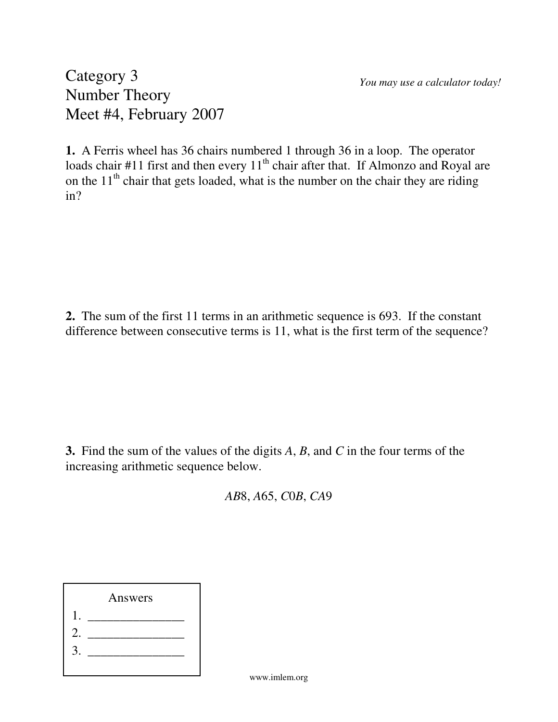*You may use a calculator today!*

Category 3 Number Theory Meet #4, February 2007

**1.** A Ferris wheel has 36 chairs numbered 1 through 36 in a loop. The operator loads chair #11 first and then every  $11<sup>th</sup>$  chair after that. If Almonzo and Royal are on the  $11<sup>th</sup>$  chair that gets loaded, what is the number on the chair they are riding in?

**2.** The sum of the first 11 terms in an arithmetic sequence is 693. If the constant difference between consecutive terms is 11, what is the first term of the sequence?

**3.** Find the sum of the values of the digits *A*, *B*, and *C* in the four terms of the increasing arithmetic sequence below.

*AB*8, *A*65, *C*0*B*, *CA*9

Answers 1. \_\_\_\_\_\_\_\_\_\_\_\_\_\_\_ 2. \_\_\_\_\_\_\_\_\_\_\_\_\_\_\_  $3.$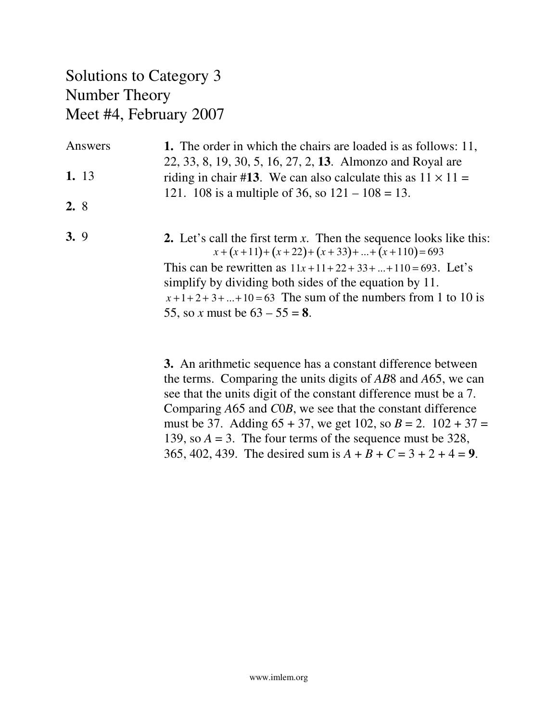### Solutions to Category 3 Number Theory Meet #4, February 2007

| Answers | <b>1.</b> The order in which the chairs are loaded is as follows: 11,<br>22, 33, 8, 19, 30, 5, 16, 27, 2, 13. Almonzo and Royal are |
|---------|-------------------------------------------------------------------------------------------------------------------------------------|
| 1. 13   | riding in chair #13. We can also calculate this as $11 \times 11 =$                                                                 |
| 2.8     | 121. 108 is a multiple of 36, so $121 - 108 = 13$ .                                                                                 |
| 3.9     | 2. Let's call the first term x. Then the sequence looks like this:<br>$x+(x+11)+(x+22)+(x+33)++(x+110)=693$                         |
|         | This can be rewritten as $11x+11+22+33++110=693$ . Let's<br>simplify by dividing both sides of the equation by 11.                  |
|         | $x+1+2+3++10=63$ The sum of the numbers from 1 to 10 is                                                                             |
|         | 55, so x must be $63 - 55 = 8$ .                                                                                                    |

**3.** An arithmetic sequence has a constant difference between the terms. Comparing the units digits of *AB*8 and *A*65, we can see that the units digit of the constant difference must be a 7. Comparing *A*65 and *C*0*B*, we see that the constant difference must be 37. Adding  $65 + 37$ , we get 102, so  $B = 2$ . 102 + 37 = 139, so  $A = 3$ . The four terms of the sequence must be 328, 365, 402, 439. The desired sum is  $A + B + C = 3 + 2 + 4 = 9$ .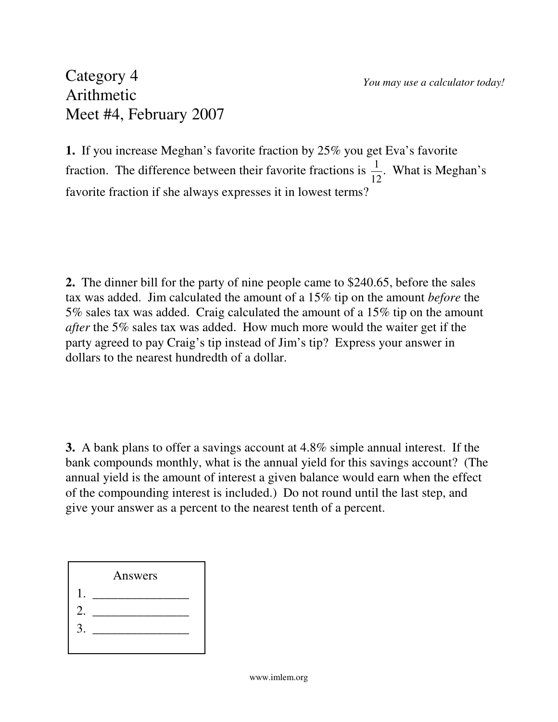#### Category 4 Arithmetic Meet #4, February 2007

**1.** If you increase Meghan's favorite fraction by 25% you get Eva's favorite fraction. The difference between their favorite fractions is  $\frac{1}{16}$ 12 . What is Meghan's favorite fraction if she always expresses it in lowest terms?

**2.** The dinner bill for the party of nine people came to \$240.65, before the sales tax was added. Jim calculated the amount of a 15% tip on the amount *before* the 5% sales tax was added. Craig calculated the amount of a 15% tip on the amount *after* the 5% sales tax was added. How much more would the waiter get if the party agreed to pay Craig's tip instead of Jim's tip? Express your answer in dollars to the nearest hundredth of a dollar.

**3.** A bank plans to offer a savings account at 4.8% simple annual interest. If the bank compounds monthly, what is the annual yield for this savings account? (The annual yield is the amount of interest a given balance would earn when the effect of the compounding interest is included.) Do not round until the last step, and give your answer as a percent to the nearest tenth of a percent.

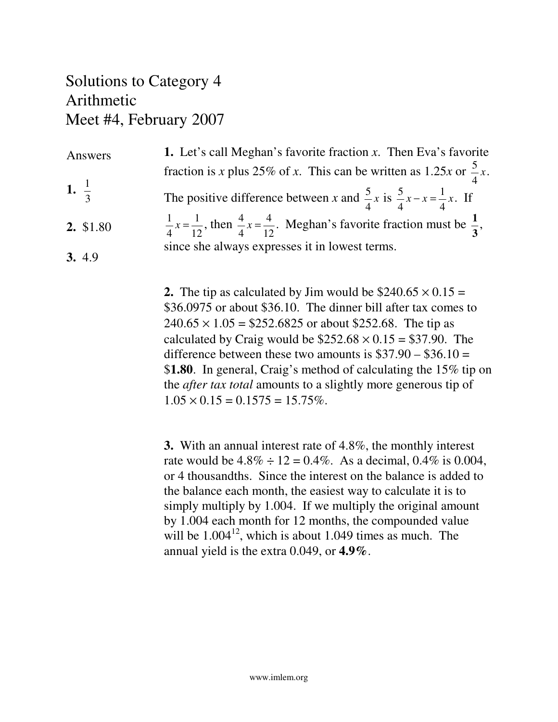#### Solutions to Category 4 Arithmetic Meet #4, February 2007

| Answers          | <b>1.</b> Let's call Meghan's favorite fraction $x$ . Then Eva's favorite                                               |
|------------------|-------------------------------------------------------------------------------------------------------------------------|
|                  | fraction is x plus 25% of x. This can be written as 1.25x or $\frac{5}{4}x$ .                                           |
| 1. $\frac{1}{3}$ | The positive difference between x and $\frac{5}{4}x$ is $\frac{5}{4}x - x = \frac{1}{4}x$ . If                          |
| 2. \$1.80        | $\frac{1}{4}x = \frac{1}{12}$ , then $\frac{4}{4}x = \frac{4}{12}$ . Meghan's favorite fraction must be $\frac{1}{3}$ , |
| 3. 4.9           | since she always expresses it in lowest terms.                                                                          |

**2.** The tip as calculated by Jim would be  $$240.65 \times 0.15 =$ \$36.0975 or about \$36.10. The dinner bill after tax comes to  $240.65 \times 1.05 = $252.6825$  or about \$252.68. The tip as calculated by Craig would be  $$252.68 \times 0.15 = $37.90$ . The difference between these two amounts is  $$37.90 - $36.10 =$ \$**1.80**. In general, Craig's method of calculating the 15% tip on the *after tax total* amounts to a slightly more generous tip of  $1.05 \times 0.15 = 0.1575 = 15.75\%$ .

**3.** With an annual interest rate of 4.8%, the monthly interest rate would be  $4.8\% \div 12 = 0.4\%$ . As a decimal,  $0.4\%$  is 0.004, or 4 thousandths. Since the interest on the balance is added to the balance each month, the easiest way to calculate it is to simply multiply by 1.004. If we multiply the original amount by 1.004 each month for 12 months, the compounded value will be  $1.004<sup>12</sup>$ , which is about 1.049 times as much. The annual yield is the extra 0.049, or **4.9%**.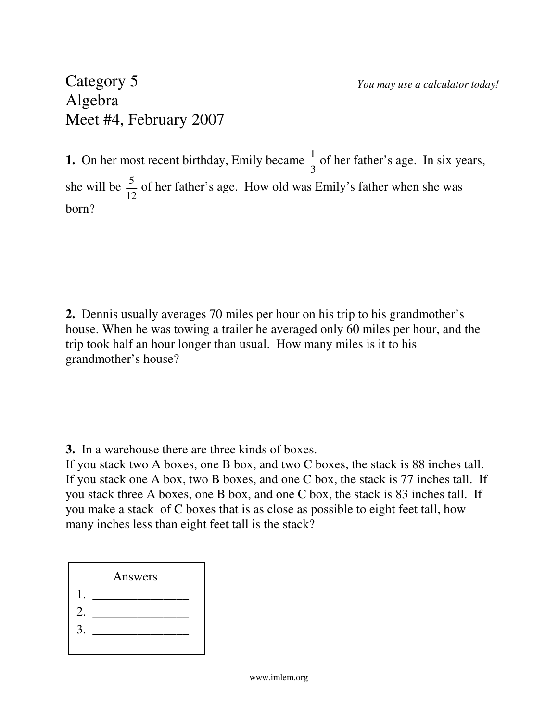#### Category 5 Algebra Meet #4, February 2007

**1.** On her most recent birthday, Emily became  $\frac{1}{2}$ 3 of her father's age. In six years, she will be  $\frac{5}{16}$ 12 of her father's age. How old was Emily's father when she was born?

**2.** Dennis usually averages 70 miles per hour on his trip to his grandmother's house. When he was towing a trailer he averaged only 60 miles per hour, and the trip took half an hour longer than usual. How many miles is it to his grandmother's house?

**3.** In a warehouse there are three kinds of boxes.

If you stack two A boxes, one B box, and two C boxes, the stack is 88 inches tall. If you stack one A box, two B boxes, and one C box, the stack is 77 inches tall. If you stack three A boxes, one B box, and one C box, the stack is 83 inches tall. If you make a stack of C boxes that is as close as possible to eight feet tall, how many inches less than eight feet tall is the stack?

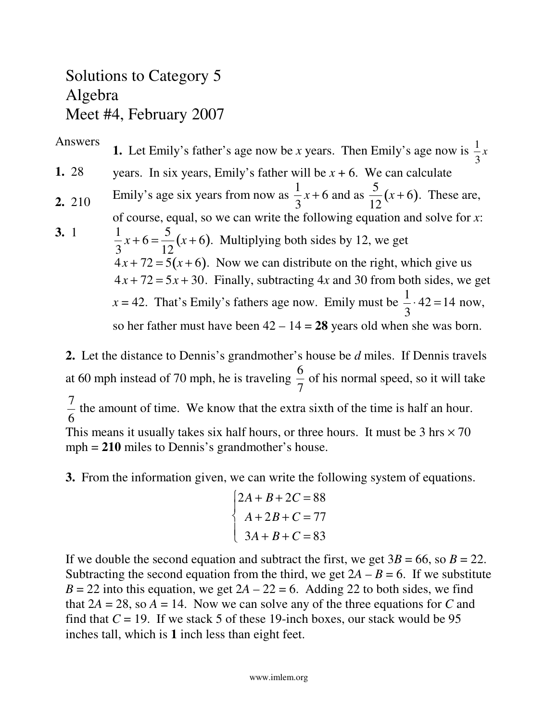### Solutions to Category 5 Algebra Meet #4, February 2007

\n- Answers: **1.** Let Emily's father's age now be *x* years. Then Emily's age now is 
$$
\frac{1}{3}x
$$
 years. In six years, Emily's father will be *x* + 6. We can calculate **2.** 210 Emily's age six years from now as  $\frac{1}{3}x + 6$  and as  $\frac{5}{12}(x+6)$ . These are, of course, equal, so we can write the following equation and solve for *x*:\n  $\frac{1}{3}x + 6 = \frac{5}{12}(x+6)$ . Multiplying both sides by 12, we get\n  $4x + 72 = 5(x+6)$ . Now we can distribute on the right, which give us\n  $4x + 72 = 5x + 30$ . Finally, subtracting 4*x* and 30 from both sides, we get\n  $x = 42$ . That's Emily's fathers age now. Emily must be  $\frac{1}{3} \cdot 42 = 14$  now, so her father must have been  $42 - 14 = 28$  years old when she was born.
\n

**2.** Let the distance to Dennis's grandmother's house be *d* miles. If Dennis travels at 60 mph instead of 70 mph, he is traveling 6 7 of his normal speed, so it will take 7 6 the amount of time. We know that the extra sixth of the time is half an hour. This means it usually takes six half hours, or three hours. It must be  $3 \text{ hrs} \times 70$ mph = **210** miles to Dennis's grandmother's house.

**3.** From the information given, we can write the following system of equations.

$$
\begin{cases} 2A + B + 2C = 88 \\ A + 2B + C = 77 \\ 3A + B + C = 83 \end{cases}
$$

If we double the second equation and subtract the first, we get  $3B = 66$ , so  $B = 22$ . Subtracting the second equation from the third, we get  $2A - B = 6$ . If we substitute  $B = 22$  into this equation, we get  $2A - 22 = 6$ . Adding 22 to both sides, we find that  $2A = 28$ , so  $A = 14$ . Now we can solve any of the three equations for C and find that  $C = 19$ . If we stack 5 of these 19-inch boxes, our stack would be 95 inches tall, which is **1** inch less than eight feet.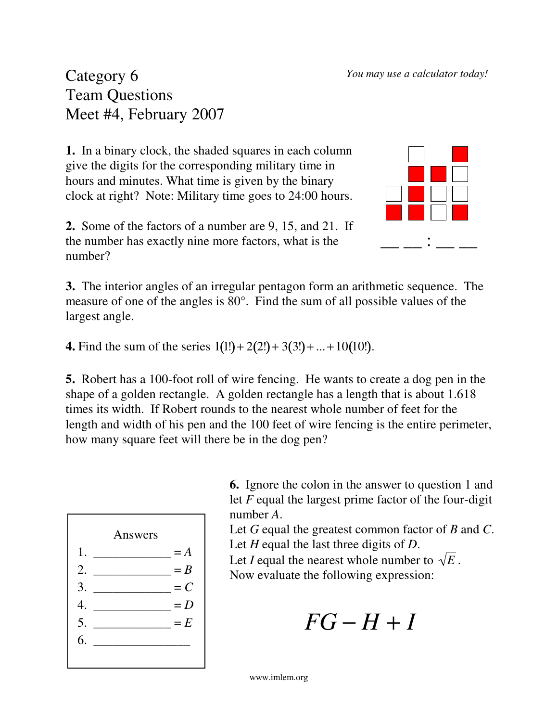Category 6 Team Questions Meet #4, February 2007

**1.** In a binary clock, the shaded squares in each column give the digits for the corresponding military time in hours and minutes. What time is given by the binary clock at right? Note: Military time goes to 24:00 hours.



**2.** Some of the factors of a number are 9, 15, and 21. If the number has exactly nine more factors, what is the number?

**3.** The interior angles of an irregular pentagon form an arithmetic sequence. The measure of one of the angles is 80°. Find the sum of all possible values of the largest angle.

**4.** Find the sum of the series  $1(1!) + 2(2!) + 3(3!) + ... + 10(10!)$ .

**5.** Robert has a 100-foot roll of wire fencing. He wants to create a dog pen in the shape of a golden rectangle. A golden rectangle has a length that is about 1.618 times its width. If Robert rounds to the nearest whole number of feet for the length and width of his pen and the 100 feet of wire fencing is the entire perimeter, how many square feet will there be in the dog pen?



**6.** Ignore the colon in the answer to question 1 and let *F* equal the largest prime factor of the four-digit number *A*.

Let *G* equal the greatest common factor of *B* and *C*. Let *H* equal the last three digits of *D*.

Let *I* equal the nearest whole number to  $\sqrt{E}$ . Now evaluate the following expression:

 $FG - H + I$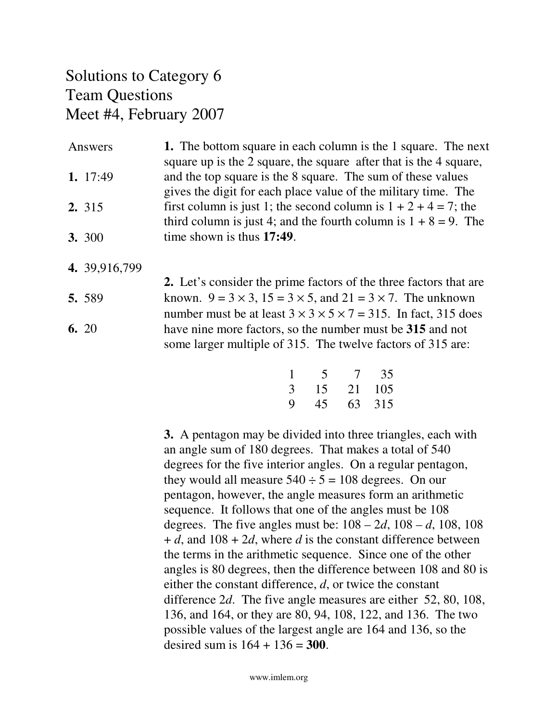#### Solutions to Category 6 Team Questions Meet #4, February 2007

| Answers       | 1. The bottom square in each column is the 1 square. The next      |
|---------------|--------------------------------------------------------------------|
|               | square up is the 2 square, the square after that is the 4 square,  |
| 1. $17:49$    | and the top square is the 8 square. The sum of these values        |
|               | gives the digit for each place value of the military time. The     |
| 2. 315        | first column is just 1; the second column is $1 + 2 + 4 = 7$ ; the |
|               | third column is just 4; and the fourth column is $1 + 8 = 9$ . The |
| <b>3.</b> 300 | time shown is thus 17:49.                                          |

- **4.** 39,916,799
- **2.** Let's consider the prime factors of the three factors that are known.  $9 = 3 \times 3$ ,  $15 = 3 \times 5$ , and  $21 = 3 \times 7$ . The unknown number must be at least  $3 \times 3 \times 5 \times 7 = 315$ . In fact, 315 does have nine more factors, so the number must be **315** and not some larger multiple of 315. The twelve factors of 315 are: **5.** 589 **6.** 20

| 1 | 5  | $\tau$ | 35  |
|---|----|--------|-----|
| 3 | 15 | 21     | 105 |
| 9 | 45 | 63     | 315 |

**3.** A pentagon may be divided into three triangles, each with an angle sum of 180 degrees. That makes a total of 540 degrees for the five interior angles. On a regular pentagon, they would all measure  $540 \div 5 = 108$  degrees. On our pentagon, however, the angle measures form an arithmetic sequence. It follows that one of the angles must be 108 degrees. The five angles must be: 108 – 2*d*, 108 – *d*, 108, 108 + *d*, and 108 + 2*d*, where *d* is the constant difference between the terms in the arithmetic sequence. Since one of the other angles is 80 degrees, then the difference between 108 and 80 is either the constant difference, *d*, or twice the constant difference 2*d*. The five angle measures are either 52, 80, 108, 136, and 164, or they are 80, 94, 108, 122, and 136. The two possible values of the largest angle are 164 and 136, so the desired sum is 164 + 136 = **300**.